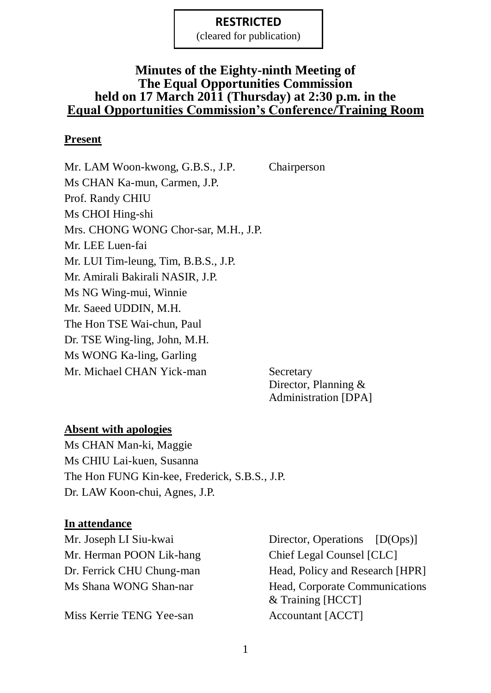(cleared for publication)

#### **Minutes of the Eighty-ninth Meeting of The Equal Opportunities Commission held on 17 March 2011 (Thursday) at 2:30 p.m. in the Equal Opportunities Commission's Conference/Training Room**

#### **Present**

Mr. LAM Woon-kwong, G.B.S., J.P. Chairperson Ms CHAN Ka-mun, Carmen, J.P. Prof. Randy CHIU Ms CHOI Hing-shi Mrs. CHONG WONG Chor-sar, M.H., J.P. Mr. LEE Luen-fai Mr. LUI Tim-leung, Tim, B.B.S., J.P. Mr. Amirali Bakirali NASIR, J.P. Ms NG Wing-mui, Winnie Mr. Saeed UDDIN, M.H. The Hon TSE Wai-chun, Paul Dr. TSE Wing-ling, John, M.H. Ms WONG Ka-ling, Garling Mr. Michael CHAN Yick-man Secretary

Director, Planning & Administration [DPA]

#### **Absent with apologies**

Ms CHAN Man-ki, Maggie Ms CHIU Lai-kuen, Susanna The Hon FUNG Kin-kee, Frederick, S.B.S., J.P. Dr. LAW Koon-chui, Agnes, J.P.

#### **In attendance**

Mr. Herman POON Lik-hang Chief Legal Counsel [CLC]

Miss Kerrie TENG Yee-san Accountant [ACCT]

Mr. Joseph LI Siu-kwai Director, Operations [D(Ops)] Dr. Ferrick CHU Chung-man Head, Policy and Research [HPR] Ms Shana WONG Shan-nar Head, Corporate Communications & Training [HCCT]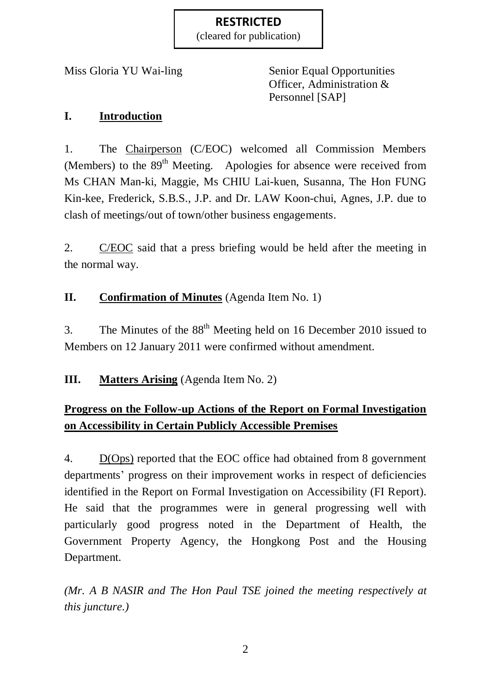(cleared for publication)

Miss Gloria YU Wai-ling Senior Equal Opportunities Officer, Administration & Personnel [SAP]

#### **I. Introduction**

1. The Chairperson (C/EOC) welcomed all Commission Members (Members) to the 89<sup>th</sup> Meeting. Apologies for absence were received from Ms CHAN Man-ki, Maggie, Ms CHIU Lai-kuen, Susanna, The Hon FUNG Kin-kee, Frederick, S.B.S., J.P. and Dr. LAW Koon-chui, Agnes, J.P. due to clash of meetings/out of town/other business engagements.

2. C/EOC said that a press briefing would be held after the meeting in the normal way.

# **II. Confirmation of Minutes** (Agenda Item No. 1)

3. The Minutes of the  $88<sup>th</sup>$  Meeting held on 16 December 2010 issued to Members on 12 January 2011 were confirmed without amendment.

**III. Matters Arising** (Agenda Item No. 2)

# **Progress on the Follow-up Actions of the Report on Formal Investigation on Accessibility in Certain Publicly Accessible Premises**

4. D(Ops) reported that the EOC office had obtained from 8 government departments' progress on their improvement works in respect of deficiencies identified in the Report on Formal Investigation on Accessibility (FI Report). He said that the programmes were in general progressing well with particularly good progress noted in the Department of Health, the Government Property Agency, the Hongkong Post and the Housing Department.

*(Mr. A B NASIR and The Hon Paul TSE joined the meeting respectively at this juncture.)*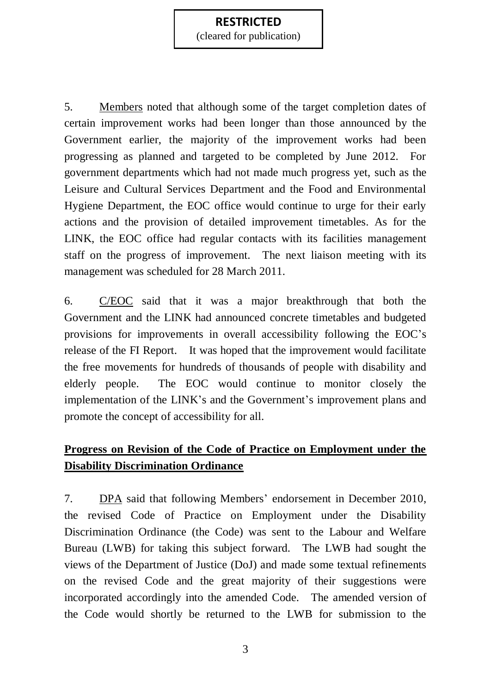(cleared for publication)

5. Members noted that although some of the target completion dates of certain improvement works had been longer than those announced by the Government earlier, the majority of the improvement works had been progressing as planned and targeted to be completed by June 2012. For government departments which had not made much progress yet, such as the Leisure and Cultural Services Department and the Food and Environmental Hygiene Department, the EOC office would continue to urge for their early actions and the provision of detailed improvement timetables. As for the LINK, the EOC office had regular contacts with its facilities management staff on the progress of improvement. The next liaison meeting with its management was scheduled for 28 March 2011.

6. C/EOC said that it was a major breakthrough that both the Government and the LINK had announced concrete timetables and budgeted provisions for improvements in overall accessibility following the EOC's release of the FI Report. It was hoped that the improvement would facilitate the free movements for hundreds of thousands of people with disability and elderly people. The EOC would continue to monitor closely the implementation of the LINK's and the Government's improvement plans and promote the concept of accessibility for all.

# **Progress on Revision of the Code of Practice on Employment under the Disability Discrimination Ordinance**

7. DPA said that following Members' endorsement in December 2010, the revised Code of Practice on Employment under the Disability Discrimination Ordinance (the Code) was sent to the Labour and Welfare Bureau (LWB) for taking this subject forward. The LWB had sought the views of the Department of Justice (DoJ) and made some textual refinements on the revised Code and the great majority of their suggestions were incorporated accordingly into the amended Code. The amended version of the Code would shortly be returned to the LWB for submission to the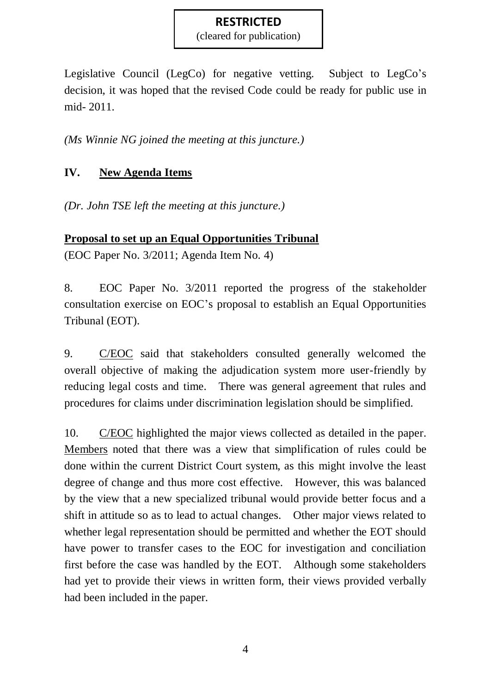(cleared for publication)

Legislative Council (LegCo) for negative vetting. Subject to LegCo's decision, it was hoped that the revised Code could be ready for public use in mid- 2011.

*(Ms Winnie NG joined the meeting at this juncture.)*

# **IV. New Agenda Items**

*(Dr. John TSE left the meeting at this juncture.)*

# **Proposal to set up an Equal Opportunities Tribunal**

(EOC Paper No. 3/2011; Agenda Item No. 4)

8. EOC Paper No. 3/2011 reported the progress of the stakeholder consultation exercise on EOC's proposal to establish an Equal Opportunities Tribunal (EOT).

9. C/EOC said that stakeholders consulted generally welcomed the overall objective of making the adjudication system more user-friendly by reducing legal costs and time. There was general agreement that rules and procedures for claims under discrimination legislation should be simplified.

10. C/EOC highlighted the major views collected as detailed in the paper. Members noted that there was a view that simplification of rules could be done within the current District Court system, as this might involve the least degree of change and thus more cost effective. However, this was balanced by the view that a new specialized tribunal would provide better focus and a shift in attitude so as to lead to actual changes. Other major views related to whether legal representation should be permitted and whether the EOT should have power to transfer cases to the EOC for investigation and conciliation first before the case was handled by the EOT. Although some stakeholders had yet to provide their views in written form, their views provided verbally had been included in the paper.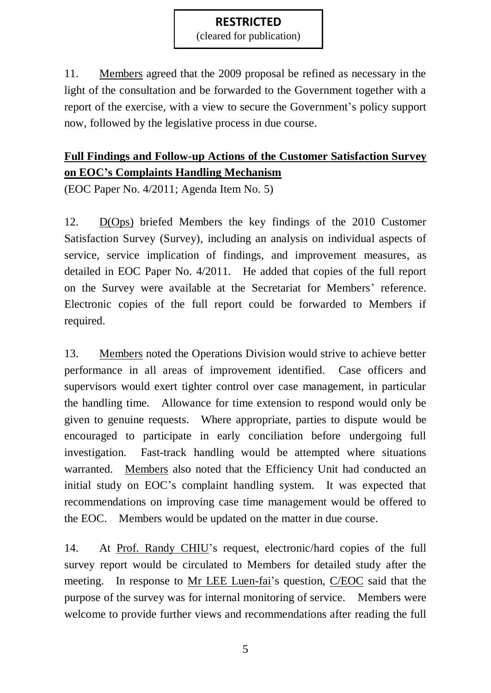(cleared for publication)

11. Members agreed that the 2009 proposal be refined as necessary in the light of the consultation and be forwarded to the Government together with a report of the exercise, with a view to secure the Government's policy support now, followed by the legislative process in due course.

# **Full Findings and Follow-up Actions of the Customer Satisfaction Survey on EOC's Complaints Handling Mechanism**

(EOC Paper No. 4/2011; Agenda Item No. 5)

12. D(Ops) briefed Members the key findings of the 2010 Customer Satisfaction Survey (Survey), including an analysis on individual aspects of service, service implication of findings, and improvement measures, as detailed in EOC Paper No. 4/2011. He added that copies of the full report on the Survey were available at the Secretariat for Members' reference. Electronic copies of the full report could be forwarded to Members if required.

13. Members noted the Operations Division would strive to achieve better performance in all areas of improvement identified. Case officers and supervisors would exert tighter control over case management, in particular the handling time. Allowance for time extension to respond would only be given to genuine requests. Where appropriate, parties to dispute would be encouraged to participate in early conciliation before undergoing full investigation. Fast-track handling would be attempted where situations warranted. Members also noted that the Efficiency Unit had conducted an initial study on EOC's complaint handling system. It was expected that recommendations on improving case time management would be offered to the EOC. Members would be updated on the matter in due course.

14. At Prof. Randy CHIU's request, electronic/hard copies of the full survey report would be circulated to Members for detailed study after the meeting. In response to Mr LEE Luen-fai's question, C/EOC said that the purpose of the survey was for internal monitoring of service. Members were welcome to provide further views and recommendations after reading the full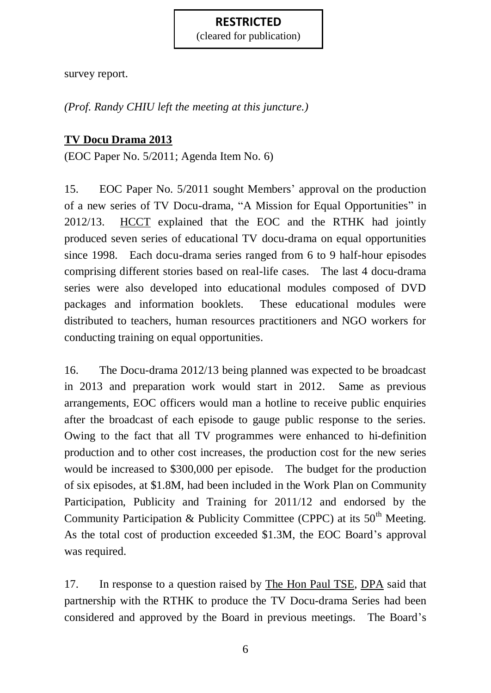(cleared for publication)

survey report.

*(Prof. Randy CHIU left the meeting at this juncture.)*

### **TV Docu Drama 2013**

(EOC Paper No. 5/2011; Agenda Item No. 6)

15. EOC Paper No. 5/2011 sought Members' approval on the production of a new series of TV Docu-drama, "A Mission for Equal Opportunities" in 2012/13. HCCT explained that the EOC and the RTHK had jointly produced seven series of educational TV docu-drama on equal opportunities since 1998. Each docu-drama series ranged from 6 to 9 half-hour episodes comprising different stories based on real-life cases. The last 4 docu-drama series were also developed into educational modules composed of DVD packages and information booklets. These educational modules were distributed to teachers, human resources practitioners and NGO workers for conducting training on equal opportunities.

16. The Docu-drama 2012/13 being planned was expected to be broadcast in 2013 and preparation work would start in 2012. Same as previous arrangements, EOC officers would man a hotline to receive public enquiries after the broadcast of each episode to gauge public response to the series. Owing to the fact that all TV programmes were enhanced to hi-definition production and to other cost increases, the production cost for the new series would be increased to \$300,000 per episode. The budget for the production of six episodes, at \$1.8M, had been included in the Work Plan on Community Participation, Publicity and Training for 2011/12 and endorsed by the Community Participation & Publicity Committee (CPPC) at its  $50<sup>th</sup>$  Meeting. As the total cost of production exceeded \$1.3M, the EOC Board's approval was required.

17. In response to a question raised by The Hon Paul TSE, DPA said that partnership with the RTHK to produce the TV Docu-drama Series had been considered and approved by the Board in previous meetings. The Board's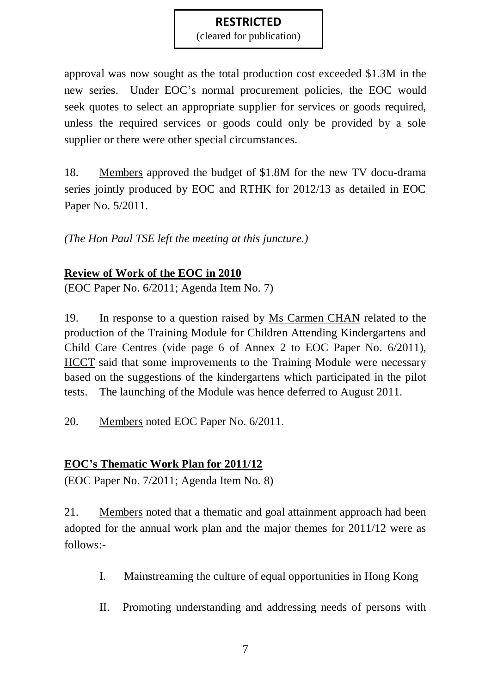(cleared for publication)

approval was now sought as the total production cost exceeded \$1.3M in the new series. Under EOC's normal procurement policies, the EOC would seek quotes to select an appropriate supplier for services or goods required, unless the required services or goods could only be provided by a sole supplier or there were other special circumstances.

18. Members approved the budget of \$1.8M for the new TV docu-drama series jointly produced by EOC and RTHK for 2012/13 as detailed in EOC Paper No. 5/2011.

*(The Hon Paul TSE left the meeting at this juncture.)*

# **Review of Work of the EOC in 2010**

(EOC Paper No. 6/2011; Agenda Item No. 7)

19. In response to a question raised by Ms Carmen CHAN related to the production of the Training Module for Children Attending Kindergartens and Child Care Centres (vide page 6 of Annex 2 to EOC Paper No. 6/2011), HCCT said that some improvements to the Training Module were necessary based on the suggestions of the kindergartens which participated in the pilot tests. The launching of the Module was hence deferred to August 2011.

20. Members noted EOC Paper No. 6/2011.

# **EOC's Thematic Work Plan for 2011/12**

(EOC Paper No. 7/2011; Agenda Item No. 8)

21. Members noted that a thematic and goal attainment approach had been adopted for the annual work plan and the major themes for 2011/12 were as follows:-

- I. Mainstreaming the culture of equal opportunities in Hong Kong
- II. Promoting understanding and addressing needs of persons with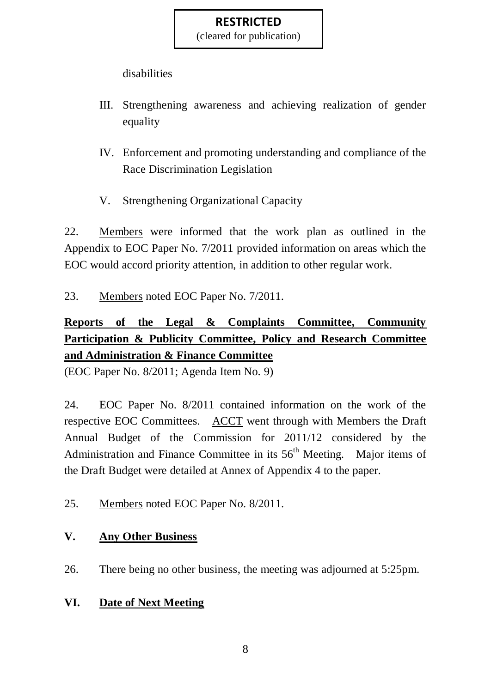(cleared for publication)

disabilities

- III. Strengthening awareness and achieving realization of gender equality
- IV. Enforcement and promoting understanding and compliance of the Race Discrimination Legislation
- V. Strengthening Organizational Capacity

22. Members were informed that the work plan as outlined in the Appendix to EOC Paper No. 7/2011 provided information on areas which the EOC would accord priority attention, in addition to other regular work.

23. Members noted EOC Paper No. 7/2011.

# **Reports of the Legal & Complaints Committee, Community Participation & Publicity Committee, Policy and Research Committee and Administration & Finance Committee**

(EOC Paper No. 8/2011; Agenda Item No. 9)

24. EOC Paper No. 8/2011 contained information on the work of the respective EOC Committees. ACCT went through with Members the Draft Annual Budget of the Commission for 2011/12 considered by the Administration and Finance Committee in its  $56<sup>th</sup>$  Meeting. Major items of the Draft Budget were detailed at Annex of Appendix 4 to the paper.

25. Members noted EOC Paper No. 8/2011.

# **V. Any Other Business**

26. There being no other business, the meeting was adjourned at 5:25pm.

# **VI. Date of Next Meeting**